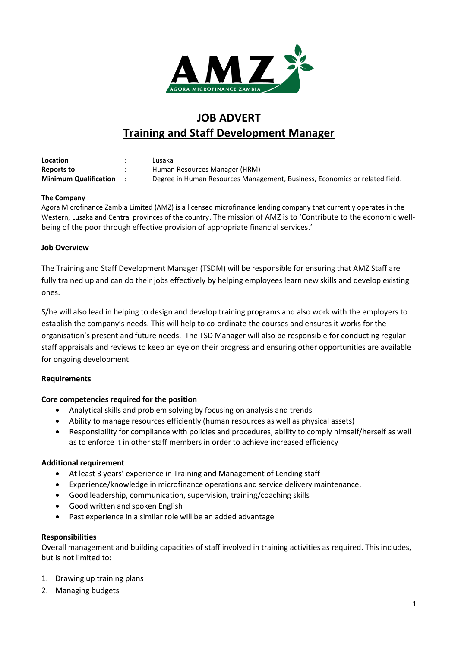

# **JOB ADVERT Training and Staff Development Manager**

| Location                     | Lusaka                                                                      |
|------------------------------|-----------------------------------------------------------------------------|
| <b>Reports to</b>            | Human Resources Manager (HRM)                                               |
| <b>Minimum Qualification</b> | Degree in Human Resources Management, Business, Economics or related field. |

### **The Company**

Agora Microfinance Zambia Limited (AMZ) is a licensed microfinance lending company that currently operates in the Western, Lusaka and Central provinces of the country. The mission of AMZ is to 'Contribute to the economic wellbeing of the poor through effective provision of appropriate financial services.'

### **Job Overview**

The Training and Staff Development Manager (TSDM) will be responsible for ensuring that AMZ Staff are fully trained up and can do their jobs effectively by helping employees learn new skills and develop existing ones.

S/he will also lead in helping to design and develop training programs and also work with the employers to establish the company's needs. This will help to co-ordinate the courses and ensures it works for the organisation's present and future needs. The TSD Manager will also be responsible for conducting regular staff appraisals and reviews to keep an eye on their progress and ensuring other opportunities are available for ongoing development.

### **Requirements**

### **Core competencies required for the position**

- Analytical skills and problem solving by focusing on analysis and trends
- Ability to manage resources efficiently (human resources as well as physical assets)
- Responsibility for compliance with policies and procedures, ability to comply himself/herself as well as to enforce it in other staff members in order to achieve increased efficiency

### **Additional requirement**

- At least 3 years' experience in Training and Management of Lending staff
- Experience/knowledge in microfinance operations and service delivery maintenance.
- Good leadership, communication, supervision, training/coaching skills
- Good written and spoken English
- Past experience in a similar role will be an added advantage

#### **Responsibilities**

Overall management and building capacities of staff involved in training activities as required. This includes, but is not limited to:

- 1. Drawing up training plans
- 2. Managing budgets